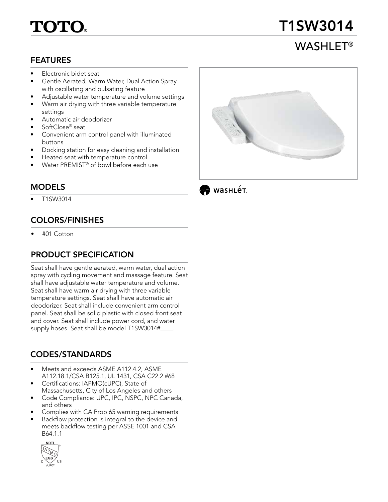# TOTO

# T1SW3014

# WASHLET®

#### FEATURES

- Electronic bidet seat
- Gentle Aerated, Warm Water, Dual Action Spray with oscillating and pulsating feature
- Adjustable water temperature and volume settings
- Warm air drying with three variable temperature settings
- Automatic air deodorizer
- SoftClose® seat
- Convenient arm control panel with illuminated buttons
- Docking station for easy cleaning and installation
- Heated seat with temperature control
- Water PREMIST<sup>®</sup> of bowl before each use

### MODELS

• T1SW3014

# COLORS/FINISHES

• #01 Cotton

# PRODUCT SPECIFICATION

Seat shall have gentle aerated, warm water, dual action spray with cycling movement and massage feature. Seat shall have adjustable water temperature and volume. Seat shall have warm air drying with three variable temperature settings. Seat shall have automatic air deodorizer. Seat shall include convenient arm control panel. Seat shall be solid plastic with closed front seat and cover. Seat shall include power cord, and water supply hoses. Seat shall be model T1SW3014# ...

# CODES/STANDARDS

- Meets and exceeds ASME A112.4.2, ASME A112.18.1/CSA B125.1, UL 1431, CSA C22.2 #68
- Certifications: IAPMO(cUPC), State of Massachusetts, City of Los Angeles and others
- Code Compliance: UPC, IPC, NSPC, NPC Canada, and others
- Complies with CA Prop 65 warning requirements
- Backflow protection is integral to the device and meets backflow testing per ASSE 1001 and CSA B64.1.1